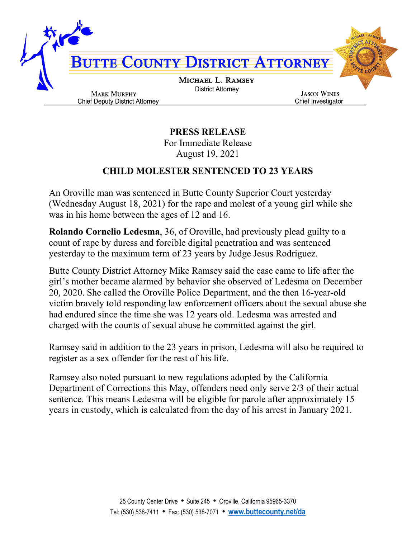

**PRESS RELEASE** For Immediate Release August 19, 2021

## **CHILD MOLESTER SENTENCED TO 23 YEARS**

An Oroville man was sentenced in Butte County Superior Court yesterday (Wednesday August 18, 2021) for the rape and molest of a young girl while she was in his home between the ages of 12 and 16.

**Rolando Cornelio Ledesma**, 36, of Oroville, had previously plead guilty to a count of rape by duress and forcible digital penetration and was sentenced yesterday to the maximum term of 23 years by Judge Jesus Rodriguez.

Butte County District Attorney Mike Ramsey said the case came to life after the girl's mother became alarmed by behavior she observed of Ledesma on December 20, 2020. She called the Oroville Police Department, and the then 16-year-old victim bravely told responding law enforcement officers about the sexual abuse she had endured since the time she was 12 years old. Ledesma was arrested and charged with the counts of sexual abuse he committed against the girl.

Ramsey said in addition to the 23 years in prison, Ledesma will also be required to register as a sex offender for the rest of his life.

Ramsey also noted pursuant to new regulations adopted by the California Department of Corrections this May, offenders need only serve 2/3 of their actual sentence. This means Ledesma will be eligible for parole after approximately 15 years in custody, which is calculated from the day of his arrest in January 2021.